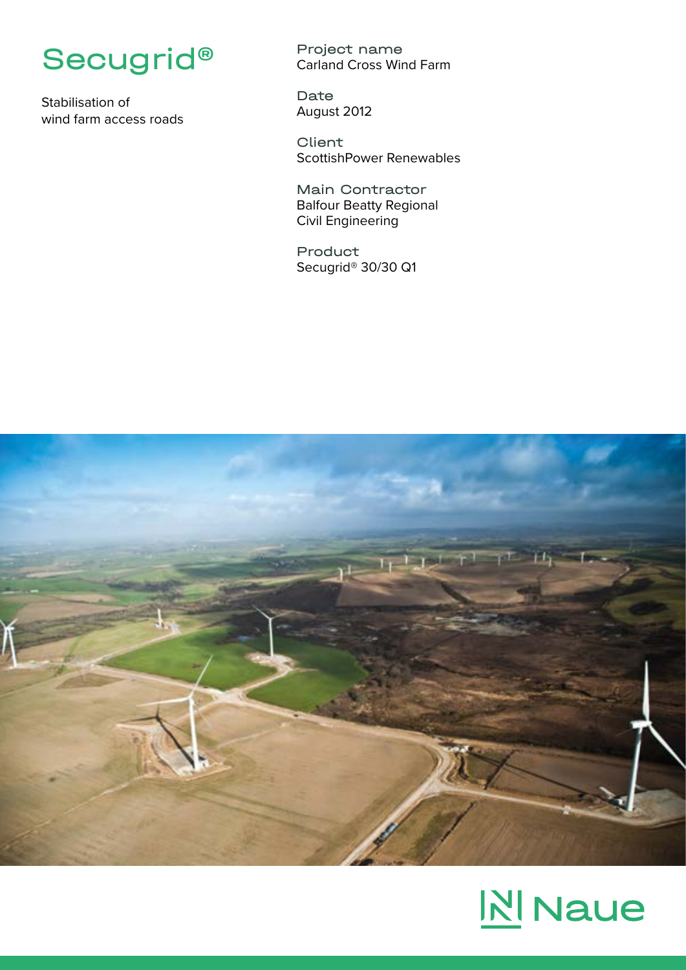

Stabilisation of wind farm access roads

Project name Carland Cross Wind Farm

Date August 2012

**Client** ScottishPower Renewables

Main Contractor Balfour Beatty Regional Civil Engineering

Product Secugrid® 30/30 Q1



## **N** Naue